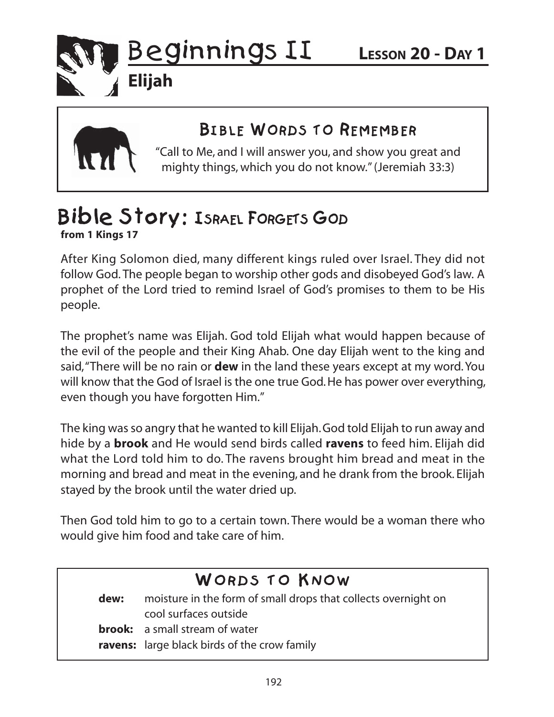

**Elijah**

 $B = 20 - 10 = 100$ "Call to Me, and I will answer you, and show you great and mighty things, which you do not know." (Jeremiah 33:3)

### Bible Story: ISRAEL FORGETS GOD **from 1 Kings 17**

After King Solomon died, many different kings ruled over Israel. They did not follow God. The people began to worship other gods and disobeyed God's law. A prophet of the Lord tried to remind Israel of God's promises to them to be His people.

The prophet's name was Elijah. God told Elijah what would happen because of the evil of the people and their King Ahab. One day Elijah went to the king and said, "There will be no rain or **dew** in the land these years except at my word. You will know that the God of Israel is the one true God. He has power over everything, even though you have forgotten Him."

The king was so angry that he wanted to kill Elijah. God told Elijah to run away and hide by a **brook** and He would send birds called **ravens** to feed him. Elijah did what the Lord told him to do. The ravens brought him bread and meat in the morning and bread and meat in the evening, and he drank from the brook. Elijah stayed by the brook until the water dried up.

Then God told him to go to a certain town. There would be a woman there who would give him food and take care of him.

dew: moisture in the form of small drops that collects overnight on cool surfaces outside **brook:** a small stream of water **ravens:** large black birds of the crow family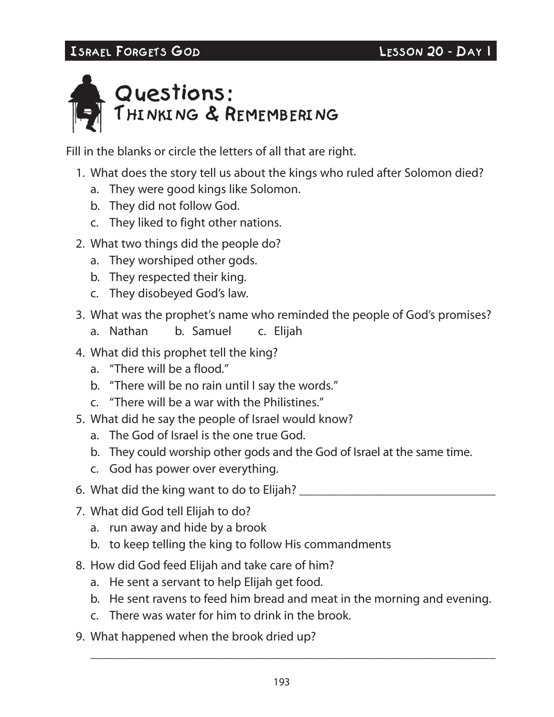## ISRAEL FORGETS GOD LESSON 20 - DAY 1999 20 - DAY 1999 20 - DAY 1999 20 - DAY 1999 2009 2009 2009 2009 2009 20<br>The contract of the contract of the contract of the contract of the contract of the contract of the contract o



Fill in the blanks or circle the letters of all that are right.

- 1. What does the story tell us about the kings who ruled after Solomon died?
	- a. They were good kings like Solomon.
	- b. They did not follow God.
	- c. They liked to fight other nations.
- 2. What two things did the people do?
	- a. They worshiped other gods.
	- b. They respected their king.
	- c. They disobeyed God's law.
- 3. What was the prophet's name who reminded the people of God's promises?
	- a. Nathan b. Samuel c. Elijah
- 4. What did this prophet tell the king?
	- a. "There will be a flood."
	- b. "There will be no rain until I say the words."
	- c. "There will be a war with the Philistines."
- 5. What did he say the people of Israel would know?
	- a. The God of Israel is the one true God.
	- b. They could worship other gods and the God of Israel at the same time.
	- c. God has power over everything.
- 6. What did the king want to do to Elijah?
- 7. What did God tell Elijah to do?
	- a. run away and hide by a brook
	- b. to keep telling the king to follow His commandments
- 8. How did God feed Elijah and take care of him?
	- a. He sent a servant to help Elijah get food.
	- b. He sent ravens to feed him bread and meat in the morning and evening.
	- c. There was water for him to drink in the brook.
- 9. What happened when the brook dried up?

\_\_\_\_\_\_\_\_\_\_\_\_\_\_\_\_\_\_\_\_\_\_\_\_\_\_\_\_\_\_\_\_\_\_\_\_\_\_\_\_\_\_\_\_\_\_\_\_\_\_\_\_\_\_\_\_\_\_\_\_\_\_\_\_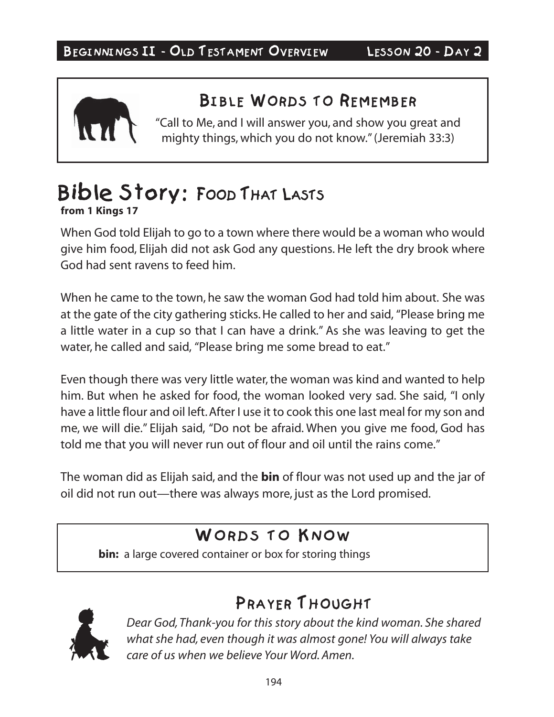

### BIBLE WORDS TO REMEMBER

 $\frac{1}{\sqrt{2}}$ "Call to Me, and I will answer you, and show you great and mighty things, which you do not know." (Jeremiah 33:3)

# from 1 Kings 17

When God told Elijah to go to a town where there would be a woman who would give him food, Elijah did not ask God any questions. He left the dry brook where God had sent ravens to feed him.

When he came to the town, he saw the woman God had told him about. She was at the gate of the city gathering sticks. He called to her and said, "Please bring me a little water in a cup so that I can have a drink." As she was leaving to get the water, he called and said, "Please bring me some bread to eat."

Even though there was very little water, the woman was kind and wanted to help him. But when he asked for food, the woman looked very sad. She said, "I only have a little flour and oil left. After I use it to cook this one last meal for my son and me, we will die." Elijah said, "Do not be afraid. When you give me food, God has told me that you will never run out of flour and oil until the rains come."

The woman did as Elijah said, and the **bin** of flour was not used up and the jar of oil did not run out—there was always more, just as the Lord promised.

**bin:** a large covered container or box for storing things



*Dear God, Thank-you for this story about the kind woman. She shared what she had, even though it was almost gone! You will always take care of us when we believe Your Word. Amen.*

PRAYER THOUGHT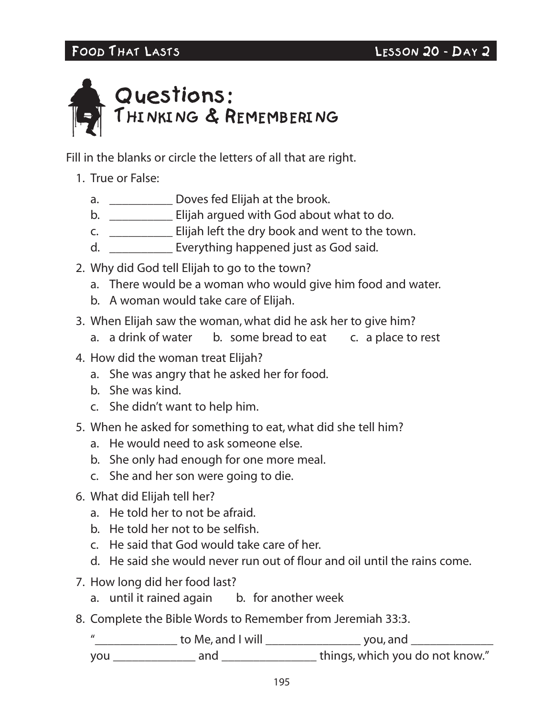

Fill in the blanks or circle the letters of all that are right.

### 1. True or False:

- a. **Doves fed Elijah at the brook.**
- b. \_\_\_\_\_\_\_\_\_\_ Elijah argued with God about what to do.
- c. \_\_\_\_\_\_\_\_\_\_ Elijah left the dry book and went to the town.
- d. \_\_\_\_\_\_\_\_\_\_ Everything happened just as God said.
- 2. Why did God tell Elijah to go to the town?
	- a. There would be a woman who would give him food and water.
	- b. A woman would take care of Elijah.
- 3. When Elijah saw the woman, what did he ask her to give him?
	- a. a drink of water b. some bread to eat c. a place to rest
- 4. How did the woman treat Elijah?
	- a. She was angry that he asked her for food.
	- b. She was kind.
	- c. She didn't want to help him.
- 5. When he asked for something to eat, what did she tell him?
	- a. He would need to ask someone else.
	- b. She only had enough for one more meal.
	- c. She and her son were going to die.
- 6. What did Elijah tell her?
	- a. He told her to not be afraid.
	- b. He told her not to be selfish.
	- c. He said that God would take care of her.
	- d. He said she would never run out of flour and oil until the rains come.
- 7. How long did her food last?
	- a. until it rained again b. for another week
- 8. Complete the Bible Words to Remember from Jeremiah 33:3.

 "\_\_\_\_\_\_\_\_\_\_\_\_\_ to Me, and I will \_\_\_\_\_\_\_\_\_\_\_\_\_\_\_ you, and \_\_\_\_\_\_\_\_\_\_\_\_\_ you \_\_\_\_\_\_\_\_\_\_\_\_\_ and \_\_\_\_\_\_\_\_\_\_\_\_\_\_\_ things, which you do not know."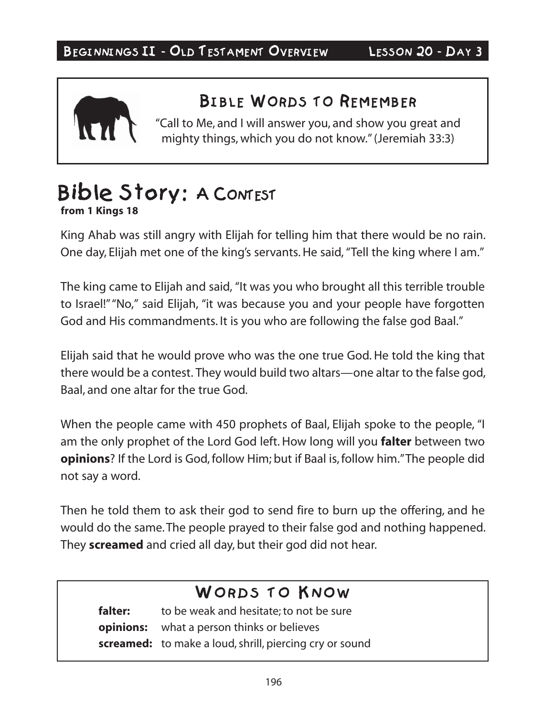

 $B = 20 - 10 = 100$ "Call to Me, and I will answer you, and show you great and mighty things, which you do not know." (Jeremiah 33:3)

# from 1 Kings 18

King Ahab was still angry with Elijah for telling him that there would be no rain. One day, Elijah met one of the king's servants. He said, "Tell the king where I am."

The king came to Elijah and said, "It was you who brought all this terrible trouble to Israel!" "No," said Elijah, "it was because you and your people have forgotten God and His commandments. It is you who are following the false god Baal."

Elijah said that he would prove who was the one true God. He told the king that there would be a contest. They would build two altars—one altar to the false god, Baal, and one altar for the true God.

When the people came with 450 prophets of Baal, Elijah spoke to the people, "I am the only prophet of the Lord God left. How long will you **falter** between two **opinions**? If the Lord is God, follow Him; but if Baal is, follow him." The people did not say a word.

Then he told them to ask their god to send fire to burn up the offering, and he would do the same. The people prayed to their false god and nothing happened. They **screamed** and cried all day, but their god did not hear.

### WORDS TO KNOW

**falter:** to be weak and hesitate; to not be sure **opinions:** what a person thinks or believes **screamed:** to make a loud, shrill, piercing cry or sound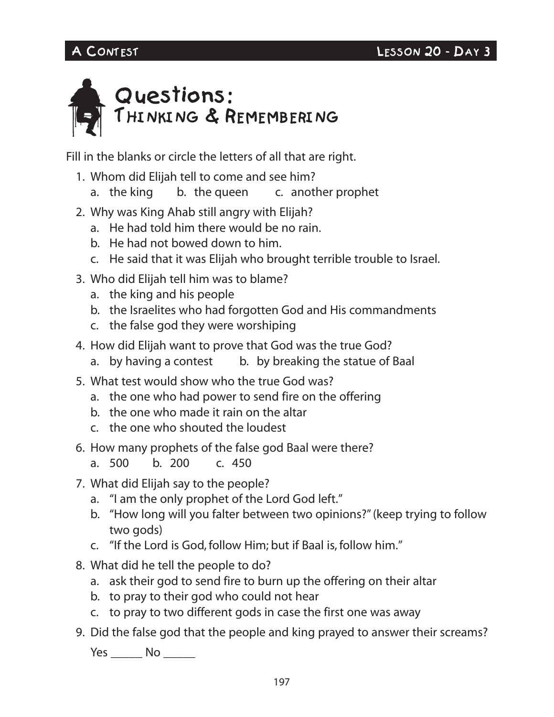

Fill in the blanks or circle the letters of all that are right.

- 1. Whom did Elijah tell to come and see him?
	- a. the king b. the queen c. another prophet
- 2. Why was King Ahab still angry with Elijah?
	- a. He had told him there would be no rain.
	- b. He had not bowed down to him.
	- c. He said that it was Elijah who brought terrible trouble to Israel.
- 3. Who did Elijah tell him was to blame?
	- a. the king and his people
	- b. the Israelites who had forgotten God and His commandments
	- c. the false god they were worshiping
- 4. How did Elijah want to prove that God was the true God?
	- a. by having a contest b. by breaking the statue of Baal
- 5. What test would show who the true God was?
	- a. the one who had power to send fire on the offering
	- b. the one who made it rain on the altar
	- c. the one who shouted the loudest
- 6. How many prophets of the false god Baal were there?
	- a. 500 b. 200 c. 450
- 7. What did Elijah say to the people?
	- a. "I am the only prophet of the Lord God left."
	- b. "How long will you falter between two opinions?" (keep trying to follow two gods)
	- c. "If the Lord is God, follow Him; but if Baal is, follow him."
- 8. What did he tell the people to do?
	- a. ask their god to send fire to burn up the offering on their altar
	- b. to pray to their god who could not hear
	- c. to pray to two different gods in case the first one was away
- 9. Did the false god that the people and king prayed to answer their screams?

Yes \_\_\_\_\_\_ No \_\_\_\_\_\_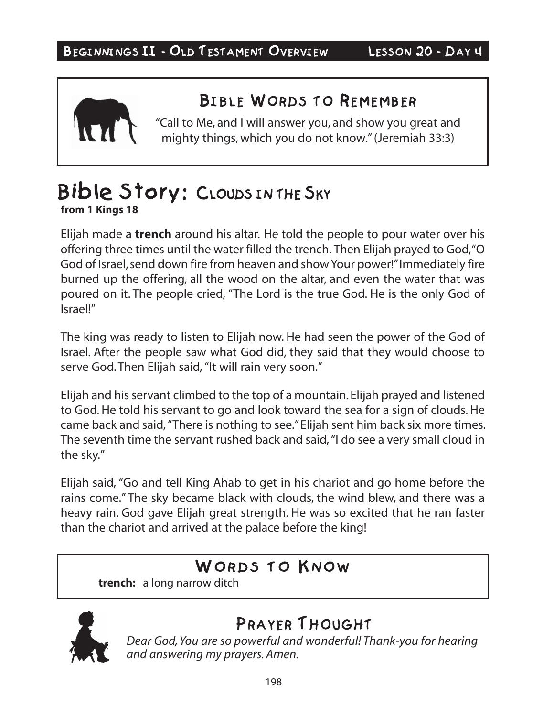

### BIBLE WORDS TO REMEMBER

 $\frac{1}{\sqrt{2}}$ "Call to Me, and I will answer you, and show you great and mighty things, which you do not know." (Jeremiah 33:3)

# Bible Story: CLOUDS IN THE SKY

**from 1 Kings 18**

Elijah made a **trench** around his altar. He told the people to pour water over his offering three times until the water filled the trench. Then Elijah prayed to God, "O God of Israel, send down fire from heaven and show Your power!" Immediately fire burned up the offering, all the wood on the altar, and even the water that was poured on it. The people cried, "The Lord is the true God. He is the only God of Israel!"

The king was ready to listen to Elijah now. He had seen the power of the God of Israel. After the people saw what God did, they said that they would choose to serve God. Then Elijah said, "It will rain very soon."

Elijah and his servant climbed to the top of a mountain. Elijah prayed and listened to God. He told his servant to go and look toward the sea for a sign of clouds. He came back and said, "There is nothing to see." Elijah sent him back six more times. The seventh time the servant rushed back and said, "I do see a very small cloud in the sky."

Elijah said, "Go and tell King Ahab to get in his chariot and go home before the rains come." The sky became black with clouds, the wind blew, and there was a heavy rain. God gave Elijah great strength. He was so excited that he ran faster than the chariot and arrived at the palace before the king!

**trench:** a long narrow ditch



**Dear God, You are so powerful and wonderful! Thank-you for hearing** *and answering my prayers. Amen.*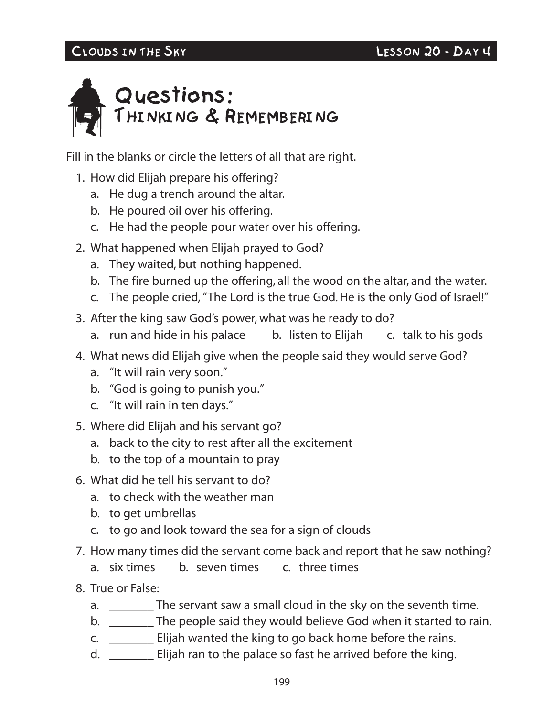# CLOUDS IN THE SKY LESSON 20 - DAY 40 - DAY 40 - DAY 40 - DAY 40 - DAY 40 - DAY 40 - DAY 40 - DAY 40 - DAY 40 -



Fill in the blanks or circle the letters of all that are right.

- 1. How did Elijah prepare his offering?
	- a. He dug a trench around the altar.
	- b. He poured oil over his offering.
	- c. He had the people pour water over his offering.
- 2. What happened when Elijah prayed to God?
	- a. They waited, but nothing happened.
	- b. The fire burned up the offering, all the wood on the altar, and the water.
	- c. The people cried, "The Lord is the true God. He is the only God of Israel!"
- 3. After the king saw God's power, what was he ready to do?
	- a. run and hide in his palace b. listen to Elijah c. talk to his gods
- 4. What news did Elijah give when the people said they would serve God?
	- a. "It will rain very soon."
	- b. "God is going to punish you."
	- c. "It will rain in ten days."
- 5. Where did Elijah and his servant go?
	- a. back to the city to rest after all the excitement
	- b. to the top of a mountain to pray
- 6. What did he tell his servant to do?
	- a. to check with the weather man
	- b. to get umbrellas
	- c. to go and look toward the sea for a sign of clouds
- 7. How many times did the servant come back and report that he saw nothing?
	- a. six times b. seven times c. three times
- 8. True or False:
	- a. \_\_\_\_\_\_\_ The servant saw a small cloud in the sky on the seventh time.
	- b. \_\_\_\_\_\_\_\_ The people said they would believe God when it started to rain.
	- c. \_\_\_\_\_\_\_ Elijah wanted the king to go back home before the rains.
	- d. \_\_\_\_\_\_\_ Elijah ran to the palace so fast he arrived before the king.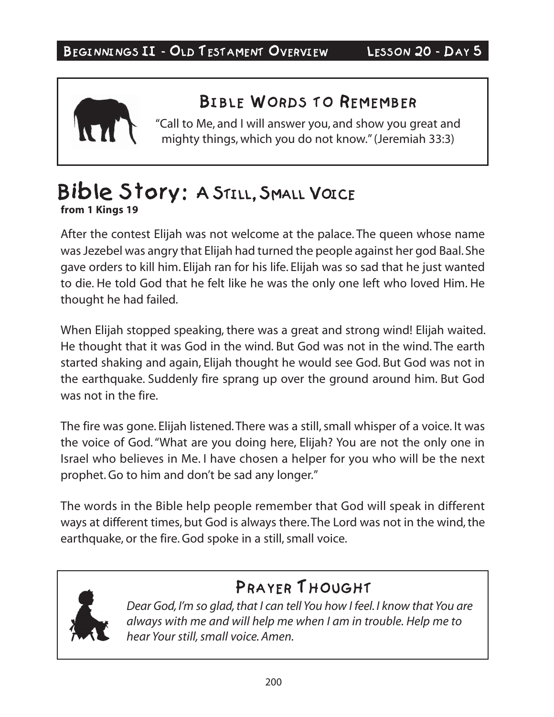

 $\frac{1}{\sqrt{2}}$ "Call to Me, and I will answer you, and show you great and mighty things, which you do not know." (Jeremiah 33:3)

### Bible Story: A STILL, SMALL VOICE **from 1 Kings 19**

After the contest Elijah was not welcome at the palace. The queen whose name was Jezebel was angry that Elijah had turned the people against her god Baal. She gave orders to kill him. Elijah ran for his life. Elijah was so sad that he just wanted to die. He told God that he felt like he was the only one left who loved Him. He thought he had failed.

When Elijah stopped speaking, there was a great and strong wind! Elijah waited. He thought that it was God in the wind. But God was not in the wind. The earth started shaking and again, Elijah thought he would see God. But God was not in the earthquake. Suddenly fire sprang up over the ground around him. But God was not in the fire.

The fire was gone. Elijah listened. There was a still, small whisper of a voice. It was the voice of God. "What are you doing here, Elijah? You are not the only one in Israel who believes in Me. I have chosen a helper for you who will be the next prophet. Go to him and don't be sad any longer."

The words in the Bible help people remember that God will speak in different ways at different times, but God is always there. The Lord was not in the wind, the earthquake, or the fire. God spoke in a still, small voice.



## PRAYER THOUGHT

*Dear God, I'm so glad, that I can tell You how I feel. I know that You are always with me and will help me when I am in trouble. Help me to hear Your still, small voice. Amen.*